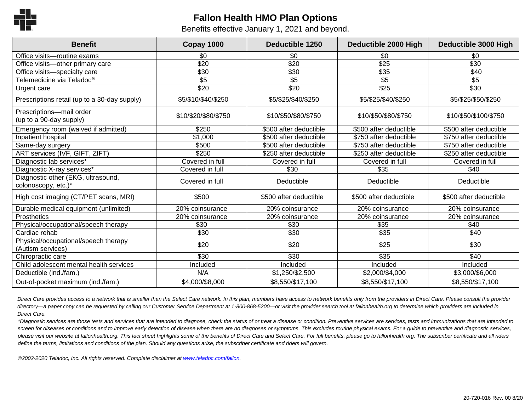

## **Fallon Health HMO Plan Options**

Benefits effective January 1, 2021 and beyond.

| <b>Benefit</b>                                            | Copay 1000           | <b>Deductible 1250</b> | Deductible 2000 High   | Deductible 3000 High   |
|-----------------------------------------------------------|----------------------|------------------------|------------------------|------------------------|
| Office visits-routine exams                               | \$0                  | \$0                    | \$0                    | \$0                    |
| Office visits-other primary care                          | \$20                 | \$20                   | \$25                   | \$30                   |
| Office visits-specialty care                              | \$30                 | \$30                   | \$35                   | \$40                   |
| Telemedicine via Teladoc®                                 | \$5                  | \$5                    | \$5                    | \$5                    |
| Urgent care                                               | \$20                 | $\sqrt{$20}$           | \$25                   | \$30                   |
| Prescriptions retail (up to a 30-day supply)              | \$5/\$10/\$40/\$250  | \$5/\$25/\$40/\$250    | \$5/\$25/\$40/\$250    | \$5/\$25/\$50/\$250    |
| Prescriptions-mail order<br>(up to a 90-day supply)       | \$10/\$20/\$80/\$750 | \$10/\$50/\$80/\$750   | \$10/\$50/\$80/\$750   | \$10/\$50/\$100/\$750  |
| Emergency room (waived if admitted)                       | \$250                | \$500 after deductible | \$500 after deductible | \$500 after deductible |
| Inpatient hospital                                        | \$1,000              | \$500 after deductible | \$750 after deductible | \$750 after deductible |
| Same-day surgery                                          | \$500                | \$500 after deductible | \$750 after deductible | \$750 after deductible |
| ART services (IVF, GIFT, ZIFT)                            | \$250                | \$250 after deductible | \$250 after deductible | \$250 after deductible |
| Diagnostic lab services*                                  | Covered in full      | Covered in full        | Covered in full        | Covered in full        |
| Diagnostic X-ray services*                                | Covered in full      | \$30                   | \$35                   | \$40                   |
| Diagnostic other (EKG, ultrasound,<br>colonoscopy, etc.)* | Covered in full      | Deductible             | Deductible             | Deductible             |
| High cost imaging (CT/PET scans, MRI)                     | \$500                | \$500 after deductible | \$500 after deductible | \$500 after deductible |
| Durable medical equipment (unlimited)                     | 20% coinsurance      | 20% coinsurance        | 20% coinsurance        | 20% coinsurance        |
| Prosthetics                                               | 20% coinsurance      | 20% coinsurance        | 20% coinsurance        | 20% coinsurance        |
| Physical/occupational/speech therapy                      | \$30                 | \$30                   | \$35                   | \$40                   |
| Cardiac rehab                                             | \$30                 | \$30                   | \$35                   | \$40                   |
| Physical/occupational/speech therapy<br>(Autism services) | \$20                 | \$20                   | \$25                   | \$30                   |
| Chiropractic care                                         | $\overline{$30}$     | \$30                   | \$35                   | \$40                   |
| Child adolescent mental health services                   | Included             | Included               | Included               | Included               |
| Deductible (ind./fam.)                                    | N/A                  | \$1,250/\$2,500        | \$2,000/\$4,000        | \$3,000/\$6,000        |
| Out-of-pocket maximum (ind./fam.)                         | \$4,000/\$8,000      | \$8,550/\$17,100       | \$8,550/\$17,100       | \$8,550/\$17,100       |

Direct Care provides access to a network that is smaller than the Select Care network. In this plan, members have access to network benefits only from the providers in Direct Care. Please consult the provider *directory—a paper copy can be requested by calling our Customer Service Department at 1-800-868-5200—or visit the provider search tool at fallonhealth.org to determine which providers are included in Direct Care.*

*\*Diagnostic services are those tests and services that are intended to diagnose, check the status of or treat a disease or condition. Preventive services are services, tests and immunizations that are intended to screen for diseases or conditions and to improve early detection of disease when there are no diagnoses or symptoms. This excludes routine physical exams. For a guide to preventive and diagnostic services,*  please visit our website at fallonhealth.org. This fact sheet highlights some of the benefits of Direct Care and Select Care. For full benefits, please go to fallonhealth.org. The subscriber certificate and all riders *define the terms, limitations and conditions of the plan. Should any questions arise, the subscriber certificate and riders will govern.*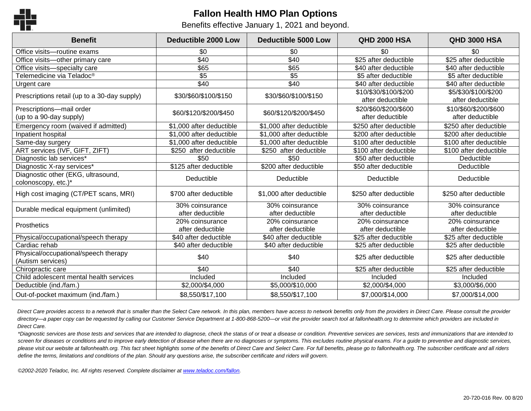

## **Fallon Health HMO Plan Options**

Benefits effective January 1, 2021 and beyond.

| <b>Benefit</b>                                            | <b>Deductible 2000 Low</b>          | <b>Deductible 5000 Low</b>          | <b>QHD 2000 HSA</b>                       | <b>QHD 3000 HSA</b>                       |
|-----------------------------------------------------------|-------------------------------------|-------------------------------------|-------------------------------------------|-------------------------------------------|
| Office visits-routine exams                               | \$0                                 | \$0                                 | \$0                                       | \$0                                       |
| Office visits-other primary care                          | \$40                                | \$40                                | \$25 after deductible                     | \$25 after deductible                     |
| Office visits-specialty care                              | \$65                                | \$65                                | \$40 after deductible                     | \$40 after deductible                     |
| Telemedicine via Teladoc®                                 | \$5                                 | \$5                                 | \$5 after deductible                      | \$5 after deductible                      |
| Urgent care                                               | \$40                                | \$40                                | \$40 after deductible                     | \$40 after deductible                     |
| Prescriptions retail (up to a 30-day supply)              | \$30/\$60/\$100/\$150               | \$30/\$60/\$100/\$150               | \$10/\$30/\$100/\$200<br>after deductible | \$5/\$30/\$100/\$200<br>after deductible  |
| Prescriptions-mail order<br>(up to a 90-day supply)       | \$60/\$120/\$200/\$450              | \$60/\$120/\$200/\$450              | \$20/\$60/\$200/\$600<br>after deductible | \$10/\$60/\$200/\$600<br>after deductible |
| Emergency room (waived if admitted)                       | \$1,000 after deductible            | \$1,000 after deductible            | \$250 after deductible                    | \$250 after deductible                    |
| Inpatient hospital                                        | \$1,000 after deductible            | \$1,000 after deductible            | \$200 after deductible                    | \$200 after deductible                    |
| Same-day surgery                                          | \$1,000 after deductible            | \$1,000 after deductible            | \$100 after deductible                    | \$100 after deductible                    |
| ART services (IVF, GIFT, ZIFT)                            | \$250 after deductible              | \$250 after deductible              | \$100 after deductible                    | \$100 after deductible                    |
| Diagnostic lab services*                                  | \$50                                | \$50                                | \$50 after deductible                     | Deductible                                |
| Diagnostic X-ray services*                                | \$125 after deductible              | \$200 after deductible              | \$50 after deductible                     | Deductible                                |
| Diagnostic other (EKG, ultrasound,<br>colonoscopy, etc.)* | Deductible                          | Deductible                          | Deductible                                | Deductible                                |
| High cost imaging (CT/PET scans, MRI)                     | \$700 after deductible              | \$1,000 after deductible            | \$250 after deductible                    | \$250 after deductible                    |
| Durable medical equipment (unlimited)                     | 30% coinsurance<br>after deductible | 30% coinsurance<br>after deductible | 30% coinsurance<br>after deductible       | 30% coinsurance<br>after deductible       |
| <b>Prosthetics</b>                                        | 20% coinsurance                     | 20% coinsurance                     | 20% coinsurance                           | 20% coinsurance                           |
|                                                           | after deductible                    | after deductible                    | after deductible                          | after deductible                          |
| Physical/occupational/speech therapy                      | \$40 after deductible               | \$40 after deductible               | \$25 after deductible                     | \$25 after deductible                     |
| Cardiac rehab                                             | \$40 after deductible               | \$40 after deductible               | \$25 after deductible                     | \$25 after deductible                     |
| Physical/occupational/speech therapy<br>(Autism services) | \$40                                | \$40                                | \$25 after deductible                     | \$25 after deductible                     |
| Chiropractic care                                         | \$40                                | \$40                                | \$25 after deductible                     | \$25 after deductible                     |
| Child adolescent mental health services                   | Included                            | Included                            | Included                                  | Included                                  |
| Deductible (ind./fam.)                                    | \$2,000/\$4,000                     | \$5,000/\$10,000                    | \$2,000/\$4,000                           | \$3,000/\$6,000                           |
| Out-of-pocket maximum (ind./fam.)                         | \$8,550/\$17,100                    | \$8,550/\$17,100                    | \$7,000/\$14,000                          | \$7,000/\$14,000                          |

Direct Care provides access to a network that is smaller than the Select Care network. In this plan, members have access to network benefits only from the providers in Direct Care. Please consult the provider *directory—a paper copy can be requested by calling our Customer Service Department at 1-800-868-5200—or visit the provider search tool at fallonhealth.org to determine which providers are included in Direct Care.*

*\*Diagnostic services are those tests and services that are intended to diagnose, check the status of or treat a disease or condition. Preventive services are services, tests and immunizations that are intended to screen for diseases or conditions and to improve early detection of disease when there are no diagnoses or symptoms. This excludes routine physical exams. For a guide to preventive and diagnostic services,*  please visit our website at fallonhealth.org. This fact sheet highlights some of the benefits of Direct Care and Select Care. For full benefits, please go to fallonhealth.org. The subscriber certificate and all riders *define the terms, limitations and conditions of the plan. Should any questions arise, the subscriber certificate and riders will govern.*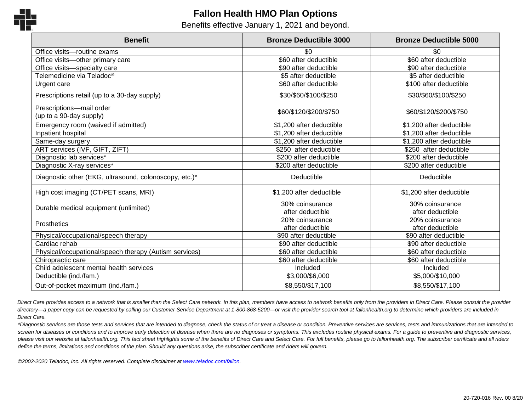

## **Fallon Health HMO Plan Options**

Benefits effective January 1, 2021 and beyond.

| <b>Benefit</b>                                         | <b>Bronze Deductible 3000</b> | <b>Bronze Deductible 5000</b> |
|--------------------------------------------------------|-------------------------------|-------------------------------|
| Office visits-routine exams                            | \$0                           | \$0                           |
| Office visits-other primary care                       | \$60 after deductible         | \$60 after deductible         |
| Office visits-specialty care                           | \$90 after deductible         | \$90 after deductible         |
| Telemedicine via Teladoc®                              | \$5 after deductible          | \$5 after deductible          |
| Urgent care                                            | \$60 after deductible         | \$100 after deductible        |
| Prescriptions retail (up to a 30-day supply)           | \$30/\$60/\$100/\$250         | \$30/\$60/\$100/\$250         |
| Prescriptions-mail order<br>(up to a 90-day supply)    | \$60/\$120/\$200/\$750        | \$60/\$120/\$200/\$750        |
| Emergency room (waived if admitted)                    | \$1,200 after deductible      | \$1,200 after deductible      |
| Inpatient hospital                                     | \$1,200 after deductible      | \$1,200 after deductible      |
| Same-day surgery                                       | \$1,200 after deductible      | \$1,200 after deductible      |
| ART services (IVF, GIFT, ZIFT)                         | \$250 after deductible        | \$250 after deductible        |
| Diagnostic lab services*                               | \$200 after deductible        | \$200 after deductible        |
| Diagnostic X-ray services*                             | \$200 after deductible        | \$200 after deductible        |
| Diagnostic other (EKG, ultrasound, colonoscopy, etc.)* | Deductible                    | Deductible                    |
| High cost imaging (CT/PET scans, MRI)                  | \$1,200 after deductible      | \$1,200 after deductible      |
| Durable medical equipment (unlimited)                  | 30% coinsurance               | 30% coinsurance               |
|                                                        | after deductible              | after deductible              |
| <b>Prosthetics</b>                                     | 20% coinsurance               | 20% coinsurance               |
|                                                        | after deductible              | after deductible              |
| Physical/occupational/speech therapy                   | \$90 after deductible         | \$90 after deductible         |
| Cardiac rehab                                          | \$90 after deductible         | \$90 after deductible         |
| Physical/occupational/speech therapy (Autism services) | \$60 after deductible         | \$60 after deductible         |
| Chiropractic care                                      | \$60 after deductible         | \$60 after deductible         |
| Child adolescent mental health services                | Included                      | Included                      |
| Deductible (ind./fam.)                                 | \$3,000/\$6,000               | \$5,000/\$10,000              |
| Out-of-pocket maximum (ind./fam.)                      | \$8,550/\$17,100              | \$8,550/\$17,100              |

Direct Care provides access to a network that is smaller than the Select Care network. In this plan, members have access to network benefits only from the providers in Direct Care. Please consult the provider *directory—a paper copy can be requested by calling our Customer Service Department at 1-800-868-5200—or visit the provider search tool at fallonhealth.org to determine which providers are included in Direct Care.*

*\*Diagnostic services are those tests and services that are intended to diagnose, check the status of or treat a disease or condition. Preventive services are services, tests and immunizations that are intended to screen for diseases or conditions and to improve early detection of disease when there are no diagnoses or symptoms. This excludes routine physical exams. For a guide to preventive and diagnostic services,* please visit our website at fallonhealth.org. This fact sheet highlights some of the benefits of Direct Care and Select Care. For full benefits, please go to fallonhealth.org. The subscriber certificate and all riders *define the terms, limitations and conditions of the plan. Should any questions arise, the subscriber certificate and riders will govern.*